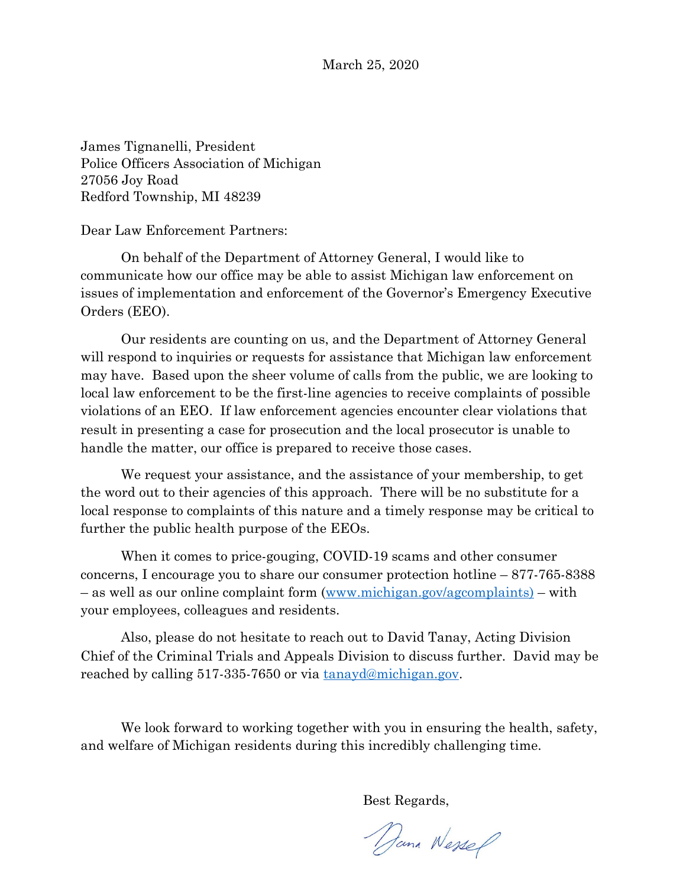March 25, 2020

James Tignanelli, President Police Officers Association of Michigan 27056 Joy Road Redford Township, MI 48239

Dear Law Enforcement Partners:

On behalf of the Department of Attorney General, I would like to communicate how our office may be able to assist Michigan law enforcement on issues of implementation and enforcement of the Governor's Emergency Executive Orders (EEO).

Our residents are counting on us, and the Department of Attorney General will respond to inquiries or requests for assistance that Michigan law enforcement may have. Based upon the sheer volume of calls from the public, we are looking to local law enforcement to be the first-line agencies to receive complaints of possible violations of an EEO. If law enforcement agencies encounter clear violations that result in presenting a case for prosecution and the local prosecutor is unable to handle the matter, our office is prepared to receive those cases.

We request your assistance, and the assistance of your membership, to get the word out to their agencies of this approach. There will be no substitute for a local response to complaints of this nature and a timely response may be critical to further the public health purpose of the EEOs.

When it comes to price-gouging, COVID-19 scams and other consumer concerns, I encourage you to share our consumer protection hotline – 877-765-8388 – as well as our online complaint form ([www.michigan.gov/agcomplaints\)](http://www.michigan.gov/agcomplaints) – with your employees, colleagues and residents.

Also, please do not hesitate to reach out to David Tanay, Acting Division Chief of the Criminal Trials and Appeals Division to discuss further. David may be reached by calling 517-335-7650 or via [tanayd@michigan.gov.](mailto:tanayd@michigan.gov)

We look forward to working together with you in ensuring the health, safety, and welfare of Michigan residents during this incredibly challenging time.

Best Regards,

Dana Wessel